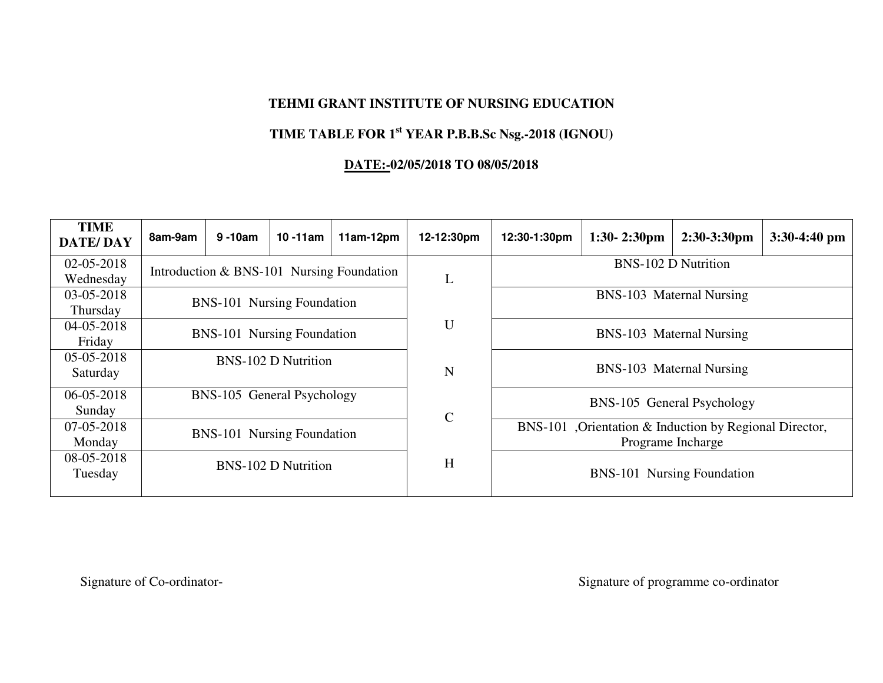#### **TEHMI GRANT INSTITUTE OF NURSING EDUCATION**

#### **TIME TABLE FOR 1st YEAR P.B.B.Sc Nsg.-2018 (IGNOU)**

#### **DATE:-02/05/2018 TO 08/05/2018**

| <b>TIME</b><br><b>DATE/DAY</b> | 8am-9am                           | $9 - 10$ am                       | $10 - 11$ am               | $11am-12pm$                               | 12-12:30pm   | 12:30-1:30pm               | $1:30 - 2:30$ pm                                        | $2:30-3:30$ pm             | $3:30-4:40$ pm |  |                          |  |  |
|--------------------------------|-----------------------------------|-----------------------------------|----------------------------|-------------------------------------------|--------------|----------------------------|---------------------------------------------------------|----------------------------|----------------|--|--------------------------|--|--|
| $02 - 05 - 2018$               |                                   |                                   |                            | Introduction & BNS-101 Nursing Foundation |              | <b>BNS-102 D Nutrition</b> |                                                         |                            |                |  |                          |  |  |
| Wednesday                      |                                   |                                   |                            |                                           | L            |                            |                                                         |                            |                |  |                          |  |  |
| 03-05-2018                     |                                   |                                   |                            |                                           |              | BNS-103 Maternal Nursing   |                                                         |                            |                |  |                          |  |  |
| Thursday                       | BNS-101 Nursing Foundation        |                                   |                            |                                           |              |                            |                                                         |                            |                |  |                          |  |  |
| 04-05-2018                     | <b>BNS-101 Nursing Foundation</b> |                                   |                            |                                           | U            |                            |                                                         |                            |                |  |                          |  |  |
| Friday                         |                                   |                                   |                            |                                           |              | BNS-103 Maternal Nursing   |                                                         |                            |                |  |                          |  |  |
| 05-05-2018                     |                                   |                                   | <b>BNS-102 D Nutrition</b> |                                           |              |                            |                                                         |                            |                |  |                          |  |  |
| Saturday                       |                                   |                                   |                            |                                           | N            |                            |                                                         |                            |                |  | BNS-103 Maternal Nursing |  |  |
| $06 - 05 - 2018$               |                                   | BNS-105 General Psychology        |                            |                                           |              |                            |                                                         |                            |                |  |                          |  |  |
| Sunday                         |                                   |                                   |                            |                                           | $\mathsf{C}$ |                            |                                                         | BNS-105 General Psychology |                |  |                          |  |  |
| 07-05-2018                     |                                   |                                   |                            |                                           |              |                            | BNS-101 , Orientation & Induction by Regional Director, |                            |                |  |                          |  |  |
| Monday                         |                                   | <b>BNS-101 Nursing Foundation</b> |                            |                                           |              |                            | Programe Incharge                                       |                            |                |  |                          |  |  |
| 08-05-2018                     | <b>BNS-102 D Nutrition</b>        |                                   | H                          |                                           |              |                            |                                                         |                            |                |  |                          |  |  |
| Tuesday                        |                                   |                                   |                            |                                           |              | BNS-101 Nursing Foundation |                                                         |                            |                |  |                          |  |  |
|                                |                                   |                                   |                            |                                           |              |                            |                                                         |                            |                |  |                          |  |  |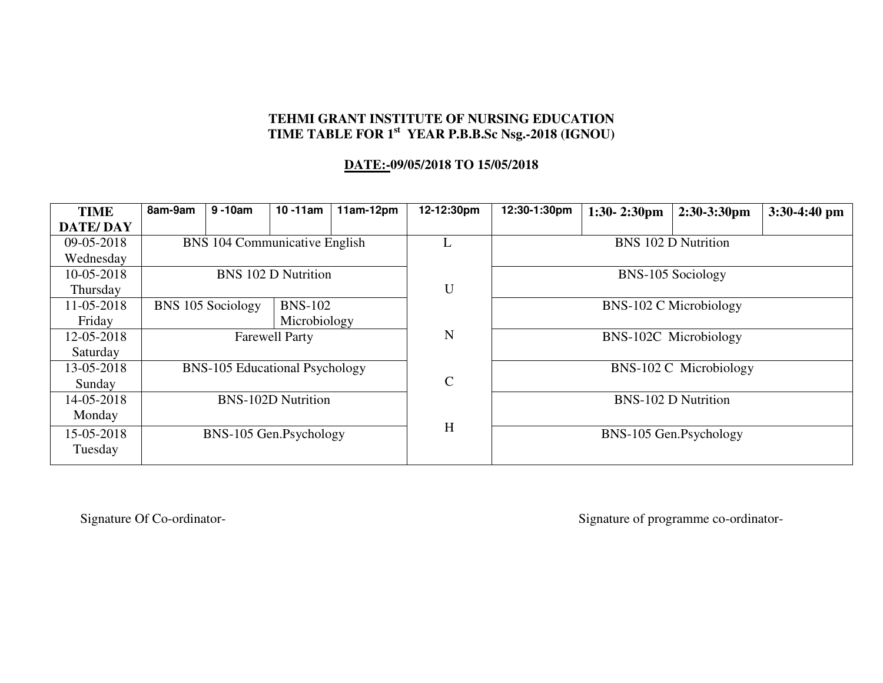#### **TEHMI GRANT INSTITUTE OF NURSING EDUCATION TIME TABLE FOR 1st YEAR P.B.B.Sc Nsg.-2018 (IGNOU)**

#### **DATE:-09/05/2018 TO 15/05/2018**

| <b>TIME</b>     | 8am-9am                             | $9 - 10$ am                           | $10 - 11$ am               | $11am-12pm$ | 12-12:30pm    | 12:30-1:30pm               | $1:30-2:30$ pm                | 2:30-3:30pm                | $3:30-4:40$ pm |  |
|-----------------|-------------------------------------|---------------------------------------|----------------------------|-------------|---------------|----------------------------|-------------------------------|----------------------------|----------------|--|
| <b>DATE/DAY</b> |                                     |                                       |                            |             |               |                            |                               |                            |                |  |
| 09-05-2018      |                                     | BNS 104 Communicative English         |                            |             |               | <b>BNS 102 D Nutrition</b> |                               |                            |                |  |
| Wednesday       |                                     |                                       |                            |             |               |                            |                               |                            |                |  |
| 10-05-2018      |                                     |                                       | <b>BNS 102 D Nutrition</b> |             |               | BNS-105 Sociology          |                               |                            |                |  |
| Thursday        |                                     |                                       |                            |             | U             |                            |                               |                            |                |  |
| 11-05-2018      | BNS 105 Sociology<br><b>BNS-102</b> |                                       |                            |             |               |                            | <b>BNS-102 C Microbiology</b> |                            |                |  |
| Friday          | Microbiology                        |                                       |                            |             |               |                            |                               |                            |                |  |
| 12-05-2018      |                                     |                                       | <b>Farewell Party</b>      |             | N             | BNS-102C Microbiology      |                               |                            |                |  |
| Saturday        |                                     |                                       |                            |             |               |                            |                               |                            |                |  |
| 13-05-2018      |                                     | <b>BNS-105 Educational Psychology</b> |                            |             |               |                            |                               | BNS-102 C Microbiology     |                |  |
| Sunday          |                                     |                                       |                            |             | $\mathcal{C}$ |                            |                               |                            |                |  |
| 14-05-2018      | <b>BNS-102D Nutrition</b>           |                                       |                            |             |               |                            |                               | <b>BNS-102 D Nutrition</b> |                |  |
| Monday          |                                     |                                       |                            |             |               |                            |                               |                            |                |  |
| 15-05-2018      | BNS-105 Gen.Psychology              |                                       |                            |             | H             |                            |                               | BNS-105 Gen.Psychology     |                |  |
| Tuesday         |                                     |                                       |                            |             |               |                            |                               |                            |                |  |
|                 |                                     |                                       |                            |             |               |                            |                               |                            |                |  |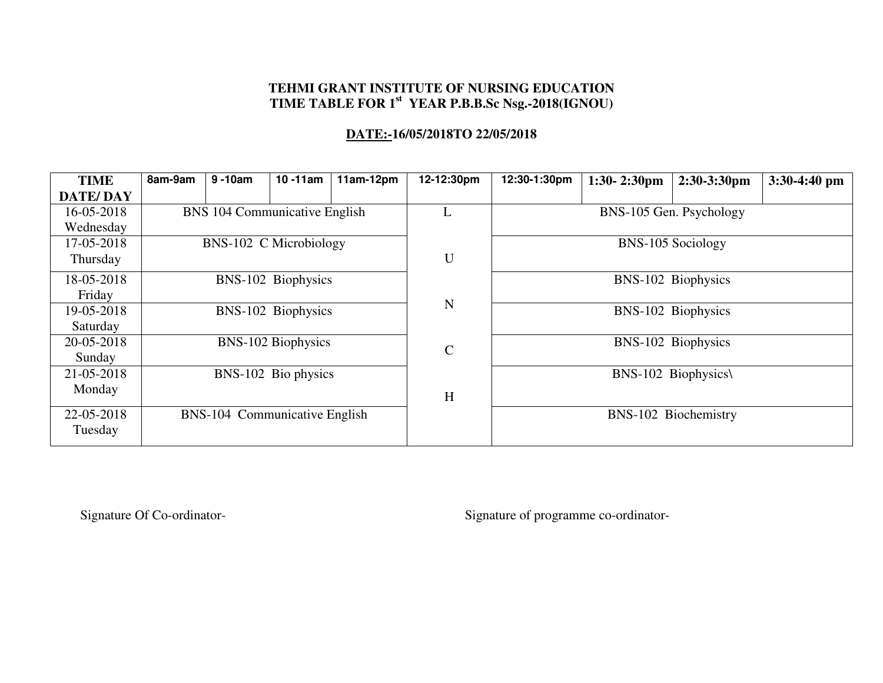# **TEHMI GRANT INSTITUTE OF NURSING EDUCATION TIME TABLE FOR 1st YEAR P.B.B.Sc Nsg.-2018(IGNOU)**

### **DATE:-16/05/2018TO 22/05/2018**

| <b>TIME</b>     | 8am-9am                   | $9 - 10$ am                   | $10 - 11$ am       | $11am-12pm$ | 12-12:30pm   | 12:30-1:30pm            | $1:30-2:30$ pm      | $2:30-3:30$ pm       | $3:30-4:40$ pm |  |
|-----------------|---------------------------|-------------------------------|--------------------|-------------|--------------|-------------------------|---------------------|----------------------|----------------|--|
| <b>DATE/DAY</b> |                           |                               |                    |             |              |                         |                     |                      |                |  |
| 16-05-2018      |                           | BNS 104 Communicative English |                    |             | L            | BNS-105 Gen. Psychology |                     |                      |                |  |
| Wednesday       |                           |                               |                    |             |              |                         |                     |                      |                |  |
| 17-05-2018      |                           | BNS-102 C Microbiology        |                    |             |              | BNS-105 Sociology       |                     |                      |                |  |
| Thursday        |                           |                               |                    |             | U            |                         |                     |                      |                |  |
| 18-05-2018      |                           |                               | BNS-102 Biophysics |             |              |                         |                     | BNS-102 Biophysics   |                |  |
| Friday          |                           |                               |                    |             |              |                         |                     |                      |                |  |
| 19-05-2018      | BNS-102 Biophysics        |                               |                    |             | N            | BNS-102 Biophysics      |                     |                      |                |  |
| Saturday        |                           |                               |                    |             |              |                         |                     |                      |                |  |
| 20-05-2018      | <b>BNS-102 Biophysics</b> |                               |                    |             | $\mathsf{C}$ |                         |                     | BNS-102 Biophysics   |                |  |
| Sunday          |                           |                               |                    |             |              |                         |                     |                      |                |  |
| 21-05-2018      | BNS-102 Bio physics       |                               |                    |             |              |                         | BNS-102 Biophysics\ |                      |                |  |
| Monday          |                           |                               |                    |             | H            |                         |                     |                      |                |  |
| 22-05-2018      |                           | BNS-104 Communicative English |                    |             |              |                         |                     | BNS-102 Biochemistry |                |  |
| Tuesday         |                           |                               |                    |             |              |                         |                     |                      |                |  |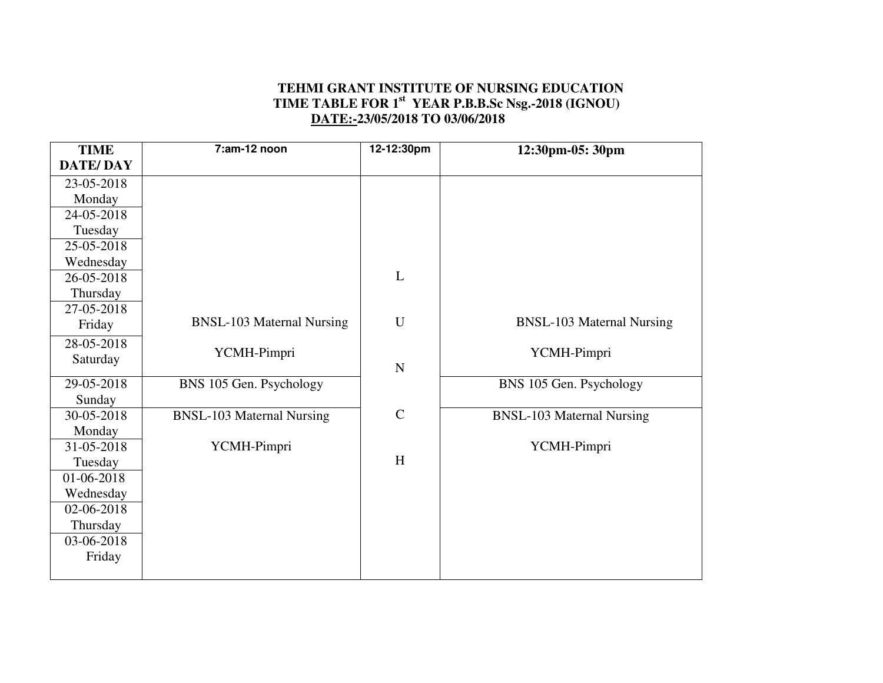#### **TEHMI GRANT INSTITUTE OF NURSING EDUCATION TIME TABLE FOR 1st YEAR P.B.B.Sc Nsg.-2018 (IGNOU) DATE:-23/05/2018 TO 03/06/2018**

| <b>TIME</b>          | $7:am-12$ noon                   | 12-12:30pm  | 12:30pm-05: 30pm                 |
|----------------------|----------------------------------|-------------|----------------------------------|
| <b>DATE/DAY</b>      |                                  |             |                                  |
| 23-05-2018           |                                  |             |                                  |
| Monday               |                                  |             |                                  |
| 24-05-2018           |                                  |             |                                  |
| Tuesday              |                                  |             |                                  |
| 25-05-2018           |                                  |             |                                  |
| Wednesday            |                                  |             |                                  |
| 26-05-2018           |                                  | L           |                                  |
| Thursday             |                                  |             |                                  |
| 27-05-2018           |                                  |             |                                  |
| Friday               | <b>BNSL-103 Maternal Nursing</b> | $\mathbf U$ | <b>BNSL-103 Maternal Nursing</b> |
| 28-05-2018           |                                  |             |                                  |
| Saturday             | YCMH-Pimpri                      |             | YCMH-Pimpri                      |
| 29-05-2018           |                                  | $\mathbf N$ |                                  |
|                      | BNS 105 Gen. Psychology          |             | BNS 105 Gen. Psychology          |
| Sunday<br>30-05-2018 | <b>BNSL-103 Maternal Nursing</b> | $\mathbf C$ | <b>BNSL-103 Maternal Nursing</b> |
| Monday               |                                  |             |                                  |
| 31-05-2018           | YCMH-Pimpri                      |             | YCMH-Pimpri                      |
| Tuesday              |                                  | H           |                                  |
| 01-06-2018           |                                  |             |                                  |
| Wednesday            |                                  |             |                                  |
| 02-06-2018           |                                  |             |                                  |
| Thursday             |                                  |             |                                  |
| 03-06-2018           |                                  |             |                                  |
| Friday               |                                  |             |                                  |
|                      |                                  |             |                                  |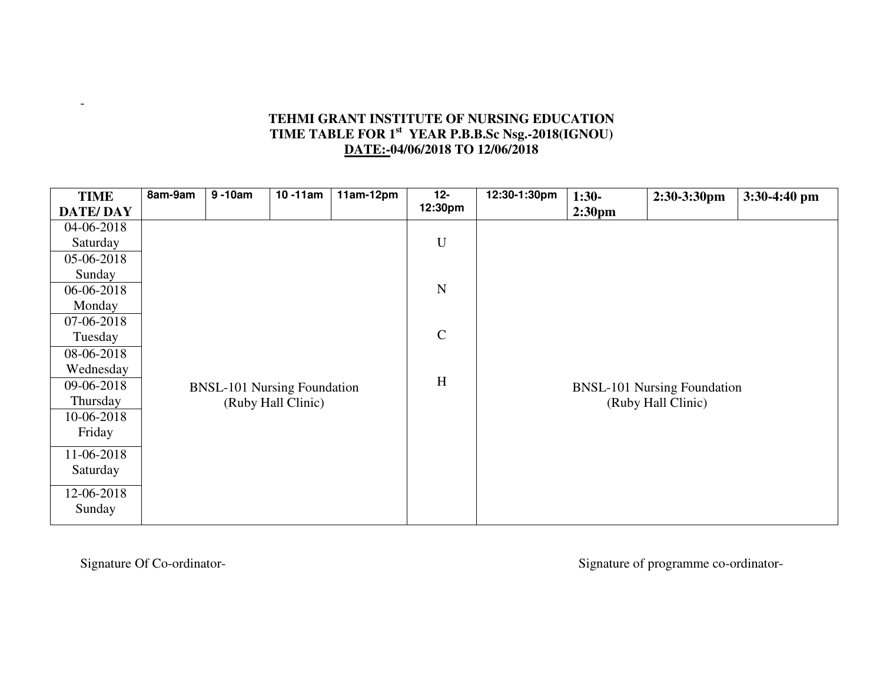### **TEHMI GRANT INSTITUTE OF NURSING EDUCATION TIME TABLE FOR 1st YEAR P.B.B.Sc Nsg.-2018(IGNOU) DATE:-04/06/2018 TO 12/06/2018**

| <b>TIME</b>     | 8am-9am | $9 - 10$ am | $\overline{10}$ -11am              | $11am-12pm$ | $12-$       | 12:30-1:30pm | $1:30-$                            | 2:30-3:30pm        | 3:30-4:40 pm |
|-----------------|---------|-------------|------------------------------------|-------------|-------------|--------------|------------------------------------|--------------------|--------------|
| <b>DATE/DAY</b> |         |             |                                    |             | 12:30pm     |              | 2:30 <sub>pm</sub>                 |                    |              |
| 04-06-2018      |         |             |                                    |             |             |              |                                    |                    |              |
| Saturday        |         |             |                                    |             | $\mathbf U$ |              |                                    |                    |              |
| 05-06-2018      |         |             |                                    |             |             |              |                                    |                    |              |
| Sunday          |         |             |                                    |             |             |              |                                    |                    |              |
| 06-06-2018      |         |             |                                    |             | $\mathbf N$ |              |                                    |                    |              |
| Monday          |         |             |                                    |             |             |              |                                    |                    |              |
| 07-06-2018      |         |             |                                    |             |             |              |                                    |                    |              |
| Tuesday         |         |             |                                    |             | $\mathbf C$ |              |                                    |                    |              |
| 08-06-2018      |         |             |                                    |             |             |              |                                    |                    |              |
| Wednesday       |         |             |                                    |             |             |              |                                    |                    |              |
| 09-06-2018      |         |             | <b>BNSL-101 Nursing Foundation</b> |             | H           |              | <b>BNSL-101 Nursing Foundation</b> |                    |              |
| Thursday        |         |             | (Ruby Hall Clinic)                 |             |             |              |                                    | (Ruby Hall Clinic) |              |
| 10-06-2018      |         |             |                                    |             |             |              |                                    |                    |              |
| Friday          |         |             |                                    |             |             |              |                                    |                    |              |
| 11-06-2018      |         |             |                                    |             |             |              |                                    |                    |              |
| Saturday        |         |             |                                    |             |             |              |                                    |                    |              |
|                 |         |             |                                    |             |             |              |                                    |                    |              |
| 12-06-2018      |         |             |                                    |             |             |              |                                    |                    |              |
| Sunday          |         |             |                                    |             |             |              |                                    |                    |              |
|                 |         |             |                                    |             |             |              |                                    |                    |              |

-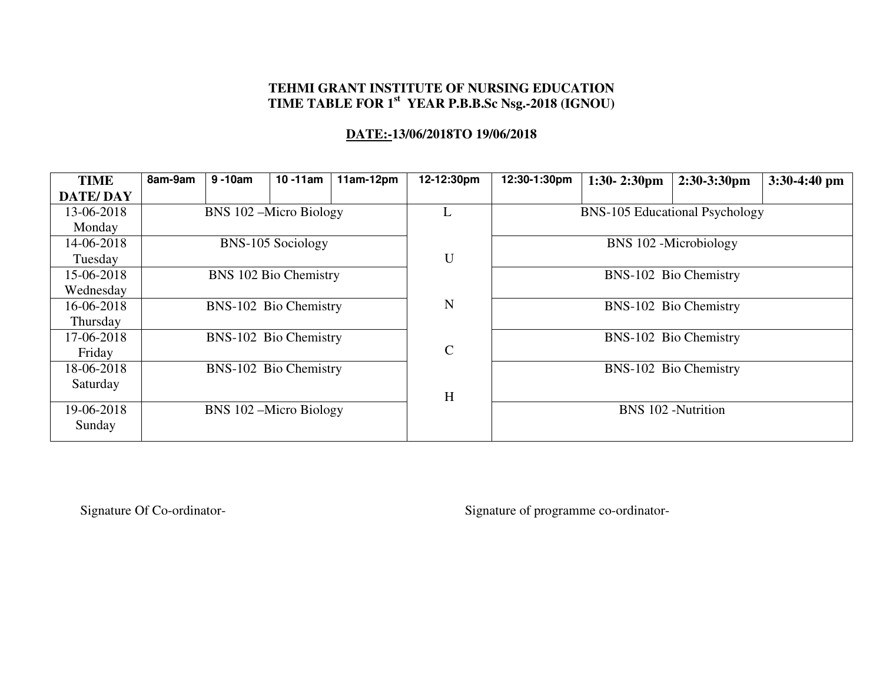# **TEHMI GRANT INSTITUTE OF NURSING EDUCATION TIME TABLE FOR 1st YEAR P.B.B.Sc Nsg.-2018 (IGNOU)**

### **DATE:-13/06/2018TO 19/06/2018**

| BNS-102 Bio Chemistry     |  |  |  |  |
|---------------------------|--|--|--|--|
|                           |  |  |  |  |
|                           |  |  |  |  |
|                           |  |  |  |  |
|                           |  |  |  |  |
|                           |  |  |  |  |
|                           |  |  |  |  |
| <b>BNS 102 -Nutrition</b> |  |  |  |  |
|                           |  |  |  |  |
|                           |  |  |  |  |